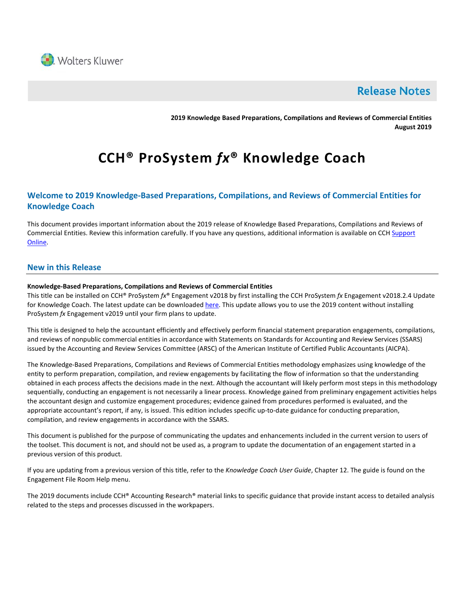

## **Release Notes**

**2019 Knowledge Based Preparations, Compilations and Reviews of Commercial Entities August 2019**

# **CCH® ProSystem** *fx***® Knowledge Coach**

## **Welcome to 2019 Knowledge-Based Preparations, Compilations, and Reviews of Commercial Entities for Knowledge Coach**

This document provides important information about the 2019 release of Knowledge Based Preparations, Compilations and Reviews of Commercial Entities. Review this information carefully. If you have any questions, additional information is available on CCH Support [Online.](http://support.cch.com/productsupport/)

## **New in this Release**

### **Knowledge-Based Preparations, Compilations and Reviews of Commercial Entities**

This title can be installed on CCH® ProSystem *fx*® Engagement v2018 by first installing the CCH ProSystem *fx* Engagement v2018.2.4 Update for Knowledge Coach. The latest update can be downloade[d here.](https://support.cch.com/updates/Engagement/release2018/release2018.aspx) This update allows you to use the 2019 content without installing ProSystem *fx* Engagement v2019 until your firm plans to update.

This title is designed to help the accountant efficiently and effectively perform financial statement preparation engagements, compilations, and reviews of nonpublic commercial entities in accordance with Statements on Standards for Accounting and Review Services (SSARS) issued by the Accounting and Review Services Committee (ARSC) of the American Institute of Certified Public Accountants (AICPA).

The Knowledge-Based Preparations, Compilations and Reviews of Commercial Entities methodology emphasizes using knowledge of the entity to perform preparation, compilation, and review engagements by facilitating the flow of information so that the understanding obtained in each process affects the decisions made in the next. Although the accountant will likely perform most steps in this methodology sequentially, conducting an engagement is not necessarily a linear process. Knowledge gained from preliminary engagement activities helps the accountant design and customize engagement procedures; evidence gained from procedures performed is evaluated, and the appropriate accountant's report, if any, is issued. This edition includes specific up-to-date guidance for conducting preparation, compilation, and review engagements in accordance with the SSARS.

This document is published for the purpose of communicating the updates and enhancements included in the current version to users of the toolset. This document is not, and should not be used as, a program to update the documentation of an engagement started in a previous version of this product.

If you are updating from a previous version of this title, refer to the *Knowledge Coach User Guide*, Chapter 12. The guide is found on the Engagement File Room Help menu.

The 2019 documents include CCH® Accounting Research® material links to specific guidance that provide instant access to detailed analysis related to the steps and processes discussed in the workpapers.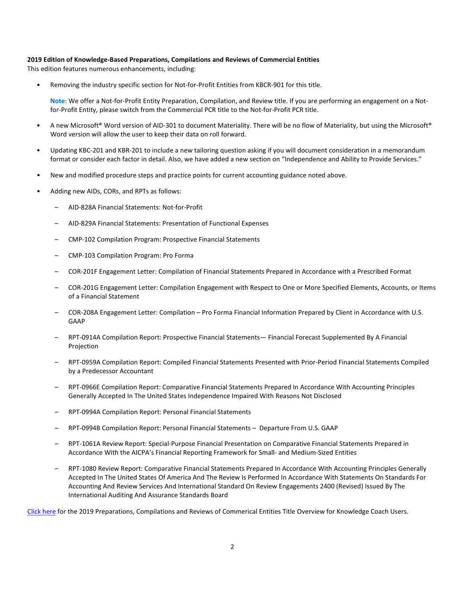#### **2019 Edition of Knowledge-Based Preparations, Compilations and Reviews of Commercial Entities**

This edition features numerous enhancements, including:

• Removing the industry specific section for Not-for-Profit Entities from KBCR-901 for this title.

**Note**: We offer a Not-for-Profit Entity Preparation, Compilation, and Review title. If you are performing an engagement on a Notfor-Profit Entity, please switch from the Commercial PCR title to the Not-for-Profit PCR title.

- A new Microsoft® Word version of AID-301 to document Materiality. There will be no flow of Materiality, but using the Microsoft® Word version will allow the user to keep their data on roll forward.
- Updating KBC-201 and KBR-201 to include a new tailoring question asking if you will document consideration in a memorandum format or consider each factor in detail. Also, we have added a new section on "Independence and Ability to Provide Services."
- New and modified procedure steps and practice points for current accounting guidance noted above.
- Adding new AIDs, CORs, and RPTs as follows:
	- AID-828A Financial Statements: Not-for-Profit
	- AID-829A Financial Statements: Presentation of Functional Expenses
	- CMP-102 Compilation Program: Prospective Financial Statements
	- CMP-103 Compilation Program: Pro Forma
	- COR-201F Engagement Letter: Compilation of Financial Statements Prepared in Accordance with a Prescribed Format
	- COR-201G Engagement Letter: Compilation Engagement with Respect to One or More Specified Elements, Accounts, or Items of a Financial Statement
	- COR-208A Engagement Letter: Compilation Pro Forma Financial Information Prepared by Client in Accordance with U.S. GAAP
	- RPT-0914A Compilation Report: Prospective Financial Statements— Financial Forecast Supplemented By A Financial Projection
	- RPT-0959A Compilation Report: Compiled Financial Statements Presented with Prior-Period Financial Statements Compiled by a Predecessor Accountant
	- RPT-0966E Compilation Report: Comparative Financial Statements Prepared In Accordance With Accounting Principles Generally Accepted In The United States Independence Impaired With Reasons Not Disclosed
	- RPT-0994A Compilation Report: Personal Financial Statements
	- RPT-0994B Compilation Report: Personal Financial Statements Departure From U.S. GAAP
	- RPT-1061A Review Report: Special-Purpose Financial Presentation on Comparative Financial Statements Prepared in Accordance With the AICPA's Financial Reporting Framework for Small- and Medium-Sized Entities
	- RPT-1080 Review Report: Comparative Financial Statements Prepared In Accordance With Accounting Principles Generally Accepted In The United States Of America And The Review Is Performed In Accordance With Statements On Standards For Accounting And Review Services And International Standard On Review Engagements 2400 (Revised) Issued By The International Auditing And Assurance Standards Board

[Click here](http://support.cch.com/updates/KnowledgeCoach/pdf/guides_tab/2019%20Commercial%20Entities%20PCR%20Title%20Overview%20for%20Knowledge%20Coach%20Users.pdf) for the 2019 Preparations, Compilations and Reviews of Commerical Entities Title Overview for Knowledge Coach Users.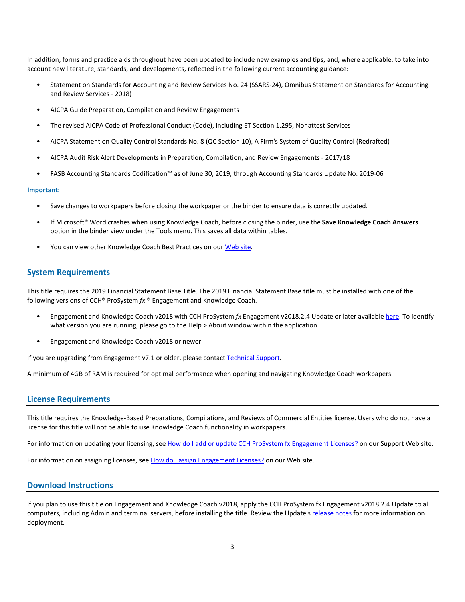In addition, forms and practice aids throughout have been updated to include new examples and tips, and, where applicable, to take into account new literature, standards, and developments, reflected in the following current accounting guidance:

- Statement on Standards for Accounting and Review Services No. 24 (SSARS-24), Omnibus Statement on Standards for Accounting and Review Services - 2018)
- AICPA Guide Preparation, Compilation and Review Engagements
- The revised AICPA Code of Professional Conduct (Code), including ET Section 1.295, Nonattest Services
- AICPA Statement on Quality Control Standards No. 8 (QC Section 10), A Firm's System of Quality Control (Redrafted)
- AICPA Audit Risk Alert Developments in Preparation, Compilation, and Review Engagements 2017/18
- FASB Accounting Standards Codification™ as of June 30, 2019, through Accounting Standards Update No. 2019-06

#### **Important:**

- Save changes to workpapers before closing the workpaper or the binder to ensure data is correctly updated.
- If Microsoft® Word crashes when using Knowledge Coach, before closing the binder, use the **Save Knowledge Coach Answers** option in the binder view under the Tools menu. This saves all data within tables.
- You can view other Knowledge Coach Best Practices on ou[r Web site.](https://support.cch.com/kb/solution/000034942/sw34947)

#### **System Requirements**

This title requires the 2019 Financial Statement Base Title. The 2019 Financial Statement Base title must be installed with one of the following versions of CCH® ProSystem *fx* ® Engagement and Knowledge Coach.

- Engagement and Knowledge Coach v2018 with CCH ProSystem *fx* Engagement v2018.2.4 Update or later available [here.](https://support.cch.com/updates/Engagement/release2018/release2018.aspx) To identify what version you are running, please go to the Help > About window within the application.
- Engagement and Knowledge Coach v2018 or newer.

If you are upgrading from Engagement v7.1 or older, please contact [Technical Support.](https://support.cch.com/contact)

A minimum of 4GB of RAM is required for optimal performance when opening and navigating Knowledge Coach workpapers.

#### **License Requirements**

This title requires the Knowledge-Based Preparations, Compilations, and Reviews of Commercial Entities license. Users who do not have a license for this title will not be able to use Knowledge Coach functionality in workpapers.

For information on updating your licensing, see [How do I add or update CCH ProSystem fx Engagement Licenses?](https://support.cch.com/kb/solution.aspx/sw3937) on our Support Web site.

For information on assigning licenses, see [How do I assign Engagement Licenses?](https://support.cch.com/kb/solution.aspx/sw3943) on our Web site.

## **Download Instructions**

If you plan to use this title on Engagement and Knowledge Coach v2018, apply the CCH ProSystem fx Engagement v2018.2.4 Update to all computers, including Admin and terminal servers, before installing the title. Review the Update'[s release notes](https://d2iceilwdglxpz.cloudfront.net/release_notes/CCH%20ProSystem%20fx%20Engagement%202018.2.4%20Release%20Notes.pdf) for more information on deployment.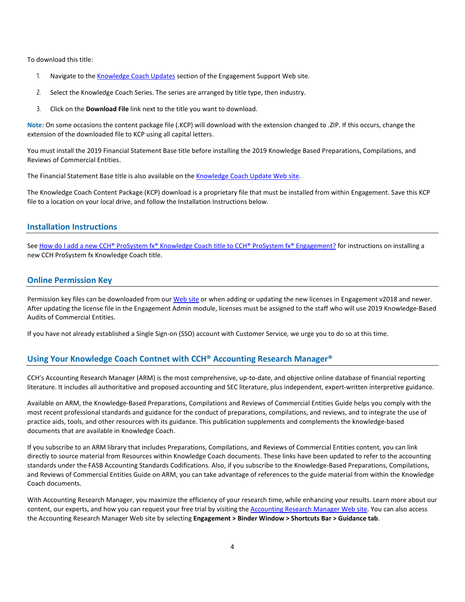To download this title:

- 1. Navigate to the [Knowledge Coach Updates](http://support.cch.com/updates/KnowledgeCoach) section of the Engagement Support Web site.
- 2. Select the Knowledge Coach Series. The series are arranged by title type, then industry.
- 3. Click on the **Download File** link next to the title you want to download.

**Note**: On some occasions the content package file (.KCP) will download with the extension changed to .ZIP. If this occurs, change the extension of the downloaded file to KCP using all capital letters.

You must install the 2019 Financial Statement Base title before installing the 2019 Knowledge Based Preparations, Compilations, and Reviews of Commercial Entities.

The Financial Statement Base title is also available on th[e Knowledge Coach Update Web site.](http://support.cch.com/updates/KnowledgeCoach)

The Knowledge Coach Content Package (KCP) download is a proprietary file that must be installed from within Engagement. Save this KCP file to a location on your local drive, and follow the Installation Instructions below.

#### **Installation Instructions**

See [How do I add a new CCH® ProSystem fx® Knowledge Coach title to CCH® ProSystem fx® Engagement?](https://support.cch.com/kb/solution/000033707/sw30271) for instructions on installing a new CCH ProSystem fx Knowledge Coach title.

## **Online Permission Key**

Permission key files can be downloaded from ou[r Web site](https://prosystemfxsupport.tax.cchgroup.com/permkey/download.aspx) or when adding or updating the new licenses in Engagement v2018 and newer. After updating the license file in the Engagement Admin module, licenses must be assigned to the staff who will use 2019 Knowledge-Based Audits of Commercial Entities.

If you have not already established a Single Sign-on (SSO) account with Customer Service, we urge you to do so at this time.

## **Using Your Knowledge Coach Contnet with CCH® Accounting Research Manager®**

CCH's Accounting Research Manager (ARM) is the most comprehensive, up-to-date, and objective online database of financial reporting literature. It includes all authoritative and proposed accounting and SEC literature, plus independent, expert-written interpretive guidance.

Available on ARM, the Knowledge-Based Preparations, Compilations and Reviews of Commercial Entities Guide helps you comply with the most recent professional standards and guidance for the conduct of preparations, compilations, and reviews, and to integrate the use of practice aids, tools, and other resources with its guidance. This publication supplements and complements the knowledge-based documents that are available in Knowledge Coach.

If you subscribe to an ARM library that includes Preparations, Compilations, and Reviews of Commercial Entities content, you can link directly to source material from Resources within Knowledge Coach documents. These links have been updated to refer to the accounting standards under the FASB Accounting Standards Codifications. Also, if you subscribe to the Knowledge-Based Preparations, Compilations, and Reviews of Commercial Entities Guide on ARM, you can take advantage of references to the guide material from within the Knowledge Coach documents.

With Accounting Research Manager, you maximize the efficiency of your research time, while enhancing your results. Learn more about our content, our experts, and how you can request your free trial by visiting the [Accounting Research Manager Web site.](http://www.accountingresearchmanager.com/) You can also access the Accounting Research Manager Web site by selecting **Engagement > Binder Window > Shortcuts Bar > Guidance tab**.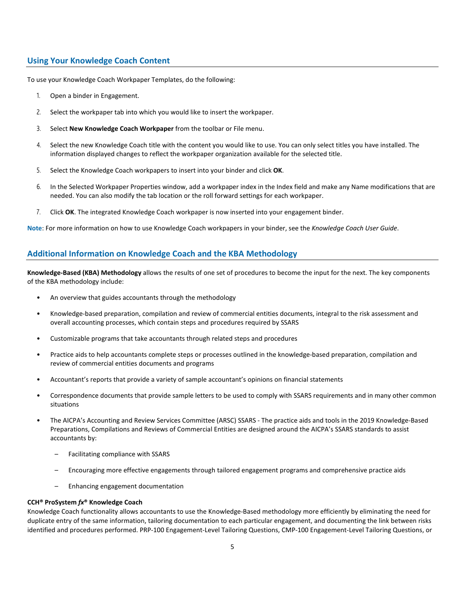## **Using Your Knowledge Coach Content**

To use your Knowledge Coach Workpaper Templates, do the following:

- 1. Open a binder in Engagement.
- 2. Select the workpaper tab into which you would like to insert the workpaper.
- 3. Select **New Knowledge Coach Workpaper** from the toolbar or File menu.
- 4. Select the new Knowledge Coach title with the content you would like to use. You can only select titles you have installed. The information displayed changes to reflect the workpaper organization available for the selected title.
- 5. Select the Knowledge Coach workpapers to insert into your binder and click **OK**.
- 6. In the Selected Workpaper Properties window, add a workpaper index in the Index field and make any Name modifications that are needed. You can also modify the tab location or the roll forward settings for each workpaper.
- 7. Click **OK**. The integrated Knowledge Coach workpaper is now inserted into your engagement binder.

**Note**: For more information on how to use Knowledge Coach workpapers in your binder, see the *Knowledge Coach User Guide*.

## **Additional Information on Knowledge Coach and the KBA Methodology**

**Knowledge-Based (KBA) Methodology** allows the results of one set of procedures to become the input for the next. The key components of the KBA methodology include:

- An overview that guides accountants through the methodology
- Knowledge-based preparation, compilation and review of commercial entities documents, integral to the risk assessment and overall accounting processes, which contain steps and procedures required by SSARS
- Customizable programs that take accountants through related steps and procedures
- Practice aids to help accountants complete steps or processes outlined in the knowledge-based preparation, compilation and review of commercial entities documents and programs
- Accountant's reports that provide a variety of sample accountant's opinions on financial statements
- Correspondence documents that provide sample letters to be used to comply with SSARS requirements and in many other common situations
- The AICPA's Accounting and Review Services Committee (ARSC) SSARS The practice aids and tools in the 2019 Knowledge-Based Preparations, Compilations and Reviews of Commercial Entities are designed around the AICPA's SSARS standards to assist accountants by:
	- Facilitating compliance with SSARS
	- Encouraging more effective engagements through tailored engagement programs and comprehensive practice aids
	- Enhancing engagement documentation

#### **CCH® ProSystem** *fx***® Knowledge Coach**

Knowledge Coach functionality allows accountants to use the Knowledge-Based methodology more efficiently by eliminating the need for duplicate entry of the same information, tailoring documentation to each particular engagement, and documenting the link between risks identified and procedures performed. PRP-100 Engagement-Level Tailoring Questions, CMP-100 Engagement-Level Tailoring Questions, or